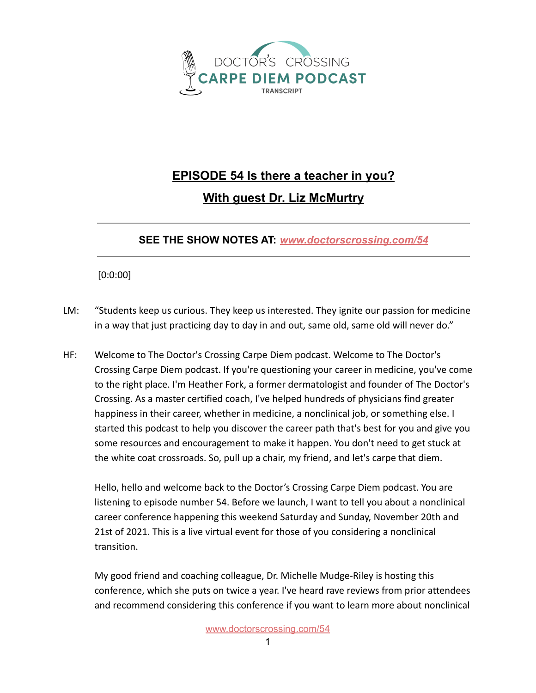

## **EPISODE 54 Is there a teacher in you? With guest Dr. Liz McMurtry**

## **SEE THE SHOW NOTES AT:** *[www.doctorscrossing.com/54](http://www.doctorscrossing.com/54)*

[0:0:00]

- LM: "Students keep us curious. They keep us interested. They ignite our passion for medicine in a way that just practicing day to day in and out, same old, same old will never do."
- HF: Welcome to The Doctor's Crossing Carpe Diem podcast. Welcome to The Doctor's Crossing Carpe Diem podcast. If you're questioning your career in medicine, you've come to the right place. I'm Heather Fork, a former dermatologist and founder of The Doctor's Crossing. As a master certified coach, I've helped hundreds of physicians find greater happiness in their career, whether in medicine, a nonclinical job, or something else. I started this podcast to help you discover the career path that's best for you and give you some resources and encouragement to make it happen. You don't need to get stuck at the white coat crossroads. So, pull up a chair, my friend, and let's carpe that diem.

Hello, hello and welcome back to the Doctor's Crossing Carpe Diem podcast. You are listening to episode number 54. Before we launch, I want to tell you about a nonclinical career conference happening this weekend Saturday and Sunday, November 20th and 21st of 2021. This is a live virtual event for those of you considering a nonclinical transition.

My good friend and coaching colleague, Dr. Michelle Mudge-Riley is hosting this conference, which she puts on twice a year. I've heard rave reviews from prior attendees and recommend considering this conference if you want to learn more about nonclinical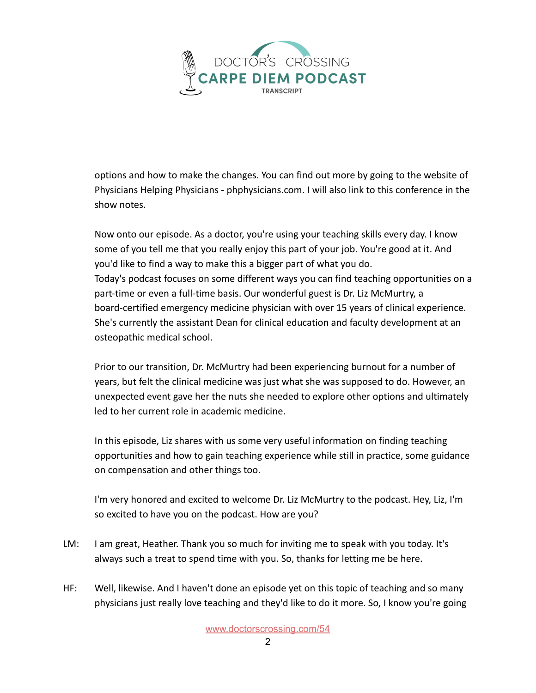

options and how to make the changes. You can find out more by going to the website of Physicians Helping Physicians - phphysicians.com. I will also link to this conference in the show notes.

Now onto our episode. As a doctor, you're using your teaching skills every day. I know some of you tell me that you really enjoy this part of your job. You're good at it. And you'd like to find a way to make this a bigger part of what you do. Today's podcast focuses on some different ways you can find teaching opportunities on a part-time or even a full-time basis. Our wonderful guest is Dr. Liz McMurtry, a board-certified emergency medicine physician with over 15 years of clinical experience. She's currently the assistant Dean for clinical education and faculty development at an osteopathic medical school.

Prior to our transition, Dr. McMurtry had been experiencing burnout for a number of years, but felt the clinical medicine was just what she was supposed to do. However, an unexpected event gave her the nuts she needed to explore other options and ultimately led to her current role in academic medicine.

In this episode, Liz shares with us some very useful information on finding teaching opportunities and how to gain teaching experience while still in practice, some guidance on compensation and other things too.

I'm very honored and excited to welcome Dr. Liz McMurtry to the podcast. Hey, Liz, I'm so excited to have you on the podcast. How are you?

- LM: I am great, Heather. Thank you so much for inviting me to speak with you today. It's always such a treat to spend time with you. So, thanks for letting me be here.
- HF: Well, likewise. And I haven't done an episode yet on this topic of teaching and so many physicians just really love teaching and they'd like to do it more. So, I know you're going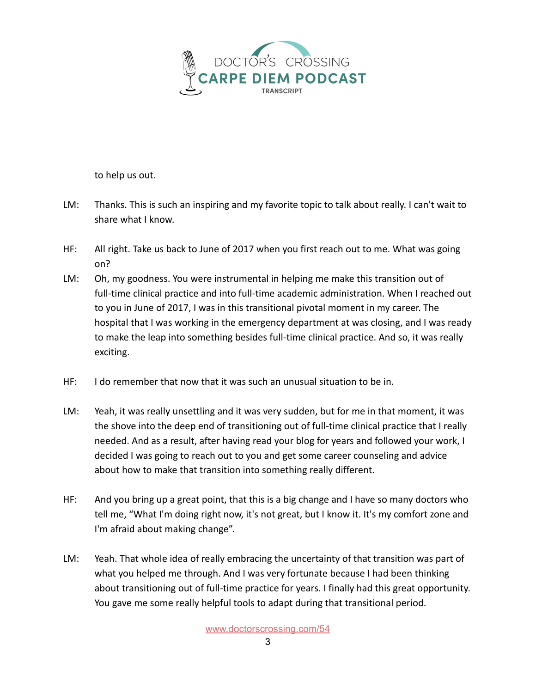

to help us out.

- LM: Thanks. This is such an inspiring and my favorite topic to talk about really. I can't wait to share what I know.
- HF: All right. Take us back to June of 2017 when you first reach out to me. What was going on?
- LM: Oh, my goodness. You were instrumental in helping me make this transition out of full-time clinical practice and into full-time academic administration. When I reached out to you in June of 2017, I was in this transitional pivotal moment in my career. The hospital that I was working in the emergency department at was closing, and I was ready to make the leap into something besides full-time clinical practice. And so, it was really exciting.
- HF: I do remember that now that it was such an unusual situation to be in.
- LM: Yeah, it was really unsettling and it was very sudden, but for me in that moment, it was the shove into the deep end of transitioning out of full-time clinical practice that I really needed. And as a result, after having read your blog for years and followed your work, I decided I was going to reach out to you and get some career counseling and advice about how to make that transition into something really different.
- HF: And you bring up a great point, that this is a big change and I have so many doctors who tell me, "What I'm doing right now, it's not great, but I know it. It's my comfort zone and I'm afraid about making change".
- LM: Yeah. That whole idea of really embracing the uncertainty of that transition was part of what you helped me through. And I was very fortunate because I had been thinking about transitioning out of full-time practice for years. I finally had this great opportunity. You gave me some really helpful tools to adapt during that transitional period.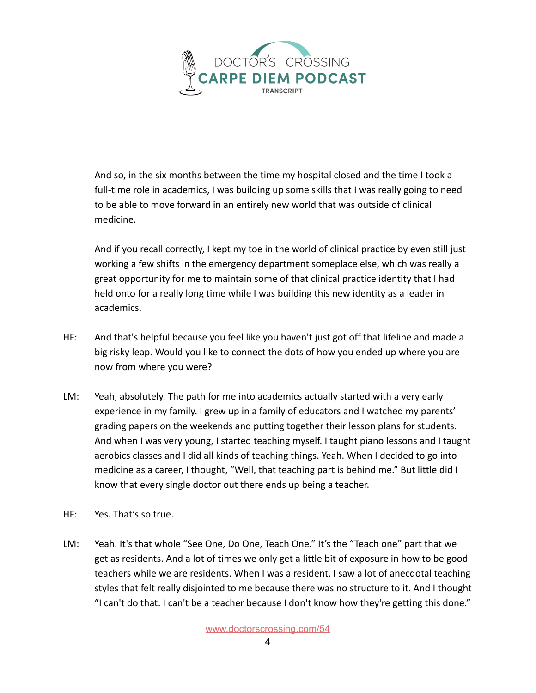

And so, in the six months between the time my hospital closed and the time I took a full-time role in academics, I was building up some skills that I was really going to need to be able to move forward in an entirely new world that was outside of clinical medicine.

And if you recall correctly, I kept my toe in the world of clinical practice by even still just working a few shifts in the emergency department someplace else, which was really a great opportunity for me to maintain some of that clinical practice identity that I had held onto for a really long time while I was building this new identity as a leader in academics.

- HF: And that's helpful because you feel like you haven't just got off that lifeline and made a big risky leap. Would you like to connect the dots of how you ended up where you are now from where you were?
- LM: Yeah, absolutely. The path for me into academics actually started with a very early experience in my family. I grew up in a family of educators and I watched my parents' grading papers on the weekends and putting together their lesson plans for students. And when I was very young, I started teaching myself. I taught piano lessons and I taught aerobics classes and I did all kinds of teaching things. Yeah. When I decided to go into medicine as a career, I thought, "Well, that teaching part is behind me." But little did I know that every single doctor out there ends up being a teacher.
- HF: Yes. That's so true.
- LM: Yeah. It's that whole "See One, Do One, Teach One." It's the "Teach one" part that we get as residents. And a lot of times we only get a little bit of exposure in how to be good teachers while we are residents. When I was a resident, I saw a lot of anecdotal teaching styles that felt really disjointed to me because there was no structure to it. And I thought "I can't do that. I can't be a teacher because I don't know how they're getting this done."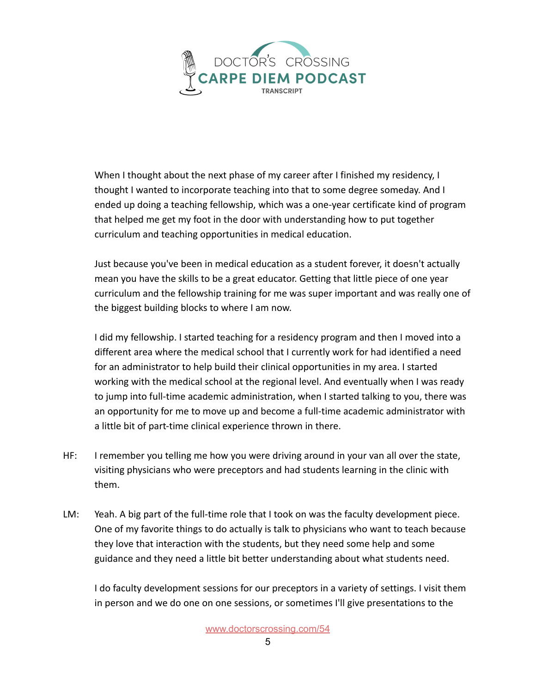

When I thought about the next phase of my career after I finished my residency, I thought I wanted to incorporate teaching into that to some degree someday. And I ended up doing a teaching fellowship, which was a one-year certificate kind of program that helped me get my foot in the door with understanding how to put together curriculum and teaching opportunities in medical education.

Just because you've been in medical education as a student forever, it doesn't actually mean you have the skills to be a great educator. Getting that little piece of one year curriculum and the fellowship training for me was super important and was really one of the biggest building blocks to where I am now.

I did my fellowship. I started teaching for a residency program and then I moved into a different area where the medical school that I currently work for had identified a need for an administrator to help build their clinical opportunities in my area. I started working with the medical school at the regional level. And eventually when I was ready to jump into full-time academic administration, when I started talking to you, there was an opportunity for me to move up and become a full-time academic administrator with a little bit of part-time clinical experience thrown in there.

- HF: I remember you telling me how you were driving around in your van all over the state, visiting physicians who were preceptors and had students learning in the clinic with them.
- LM: Yeah. A big part of the full-time role that I took on was the faculty development piece. One of my favorite things to do actually is talk to physicians who want to teach because they love that interaction with the students, but they need some help and some guidance and they need a little bit better understanding about what students need.

I do faculty development sessions for our preceptors in a variety of settings. I visit them in person and we do one on one sessions, or sometimes I'll give presentations to the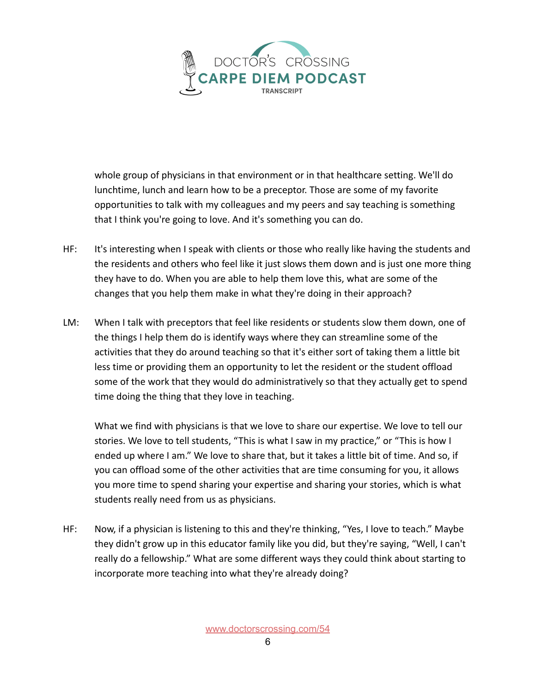

whole group of physicians in that environment or in that healthcare setting. We'll do lunchtime, lunch and learn how to be a preceptor. Those are some of my favorite opportunities to talk with my colleagues and my peers and say teaching is something that I think you're going to love. And it's something you can do.

- HF: It's interesting when I speak with clients or those who really like having the students and the residents and others who feel like it just slows them down and is just one more thing they have to do. When you are able to help them love this, what are some of the changes that you help them make in what they're doing in their approach?
- LM: When I talk with preceptors that feel like residents or students slow them down, one of the things I help them do is identify ways where they can streamline some of the activities that they do around teaching so that it's either sort of taking them a little bit less time or providing them an opportunity to let the resident or the student offload some of the work that they would do administratively so that they actually get to spend time doing the thing that they love in teaching.

What we find with physicians is that we love to share our expertise. We love to tell our stories. We love to tell students, "This is what I saw in my practice," or "This is how I ended up where I am." We love to share that, but it takes a little bit of time. And so, if you can offload some of the other activities that are time consuming for you, it allows you more time to spend sharing your expertise and sharing your stories, which is what students really need from us as physicians.

HF: Now, if a physician is listening to this and they're thinking, "Yes, I love to teach." Maybe they didn't grow up in this educator family like you did, but they're saying, "Well, I can't really do a fellowship." What are some different ways they could think about starting to incorporate more teaching into what they're already doing?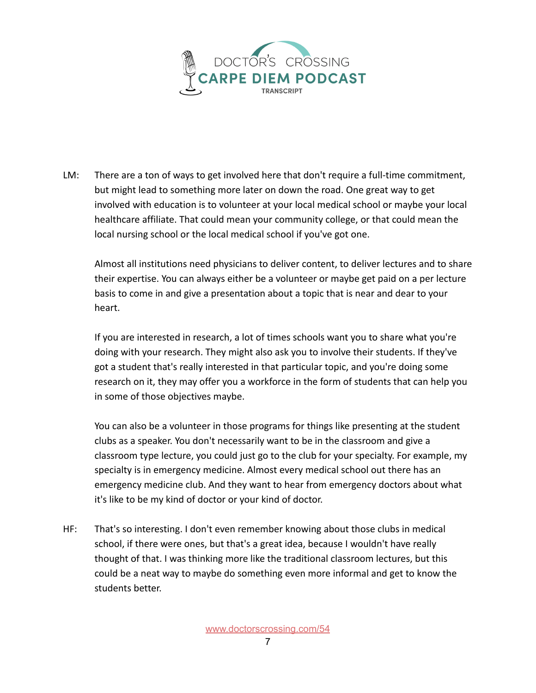

LM: There are a ton of ways to get involved here that don't require a full-time commitment, but might lead to something more later on down the road. One great way to get involved with education is to volunteer at your local medical school or maybe your local healthcare affiliate. That could mean your community college, or that could mean the local nursing school or the local medical school if you've got one.

Almost all institutions need physicians to deliver content, to deliver lectures and to share their expertise. You can always either be a volunteer or maybe get paid on a per lecture basis to come in and give a presentation about a topic that is near and dear to your heart.

If you are interested in research, a lot of times schools want you to share what you're doing with your research. They might also ask you to involve their students. If they've got a student that's really interested in that particular topic, and you're doing some research on it, they may offer you a workforce in the form of students that can help you in some of those objectives maybe.

You can also be a volunteer in those programs for things like presenting at the student clubs as a speaker. You don't necessarily want to be in the classroom and give a classroom type lecture, you could just go to the club for your specialty. For example, my specialty is in emergency medicine. Almost every medical school out there has an emergency medicine club. And they want to hear from emergency doctors about what it's like to be my kind of doctor or your kind of doctor.

HF: That's so interesting. I don't even remember knowing about those clubs in medical school, if there were ones, but that's a great idea, because I wouldn't have really thought of that. I was thinking more like the traditional classroom lectures, but this could be a neat way to maybe do something even more informal and get to know the students better.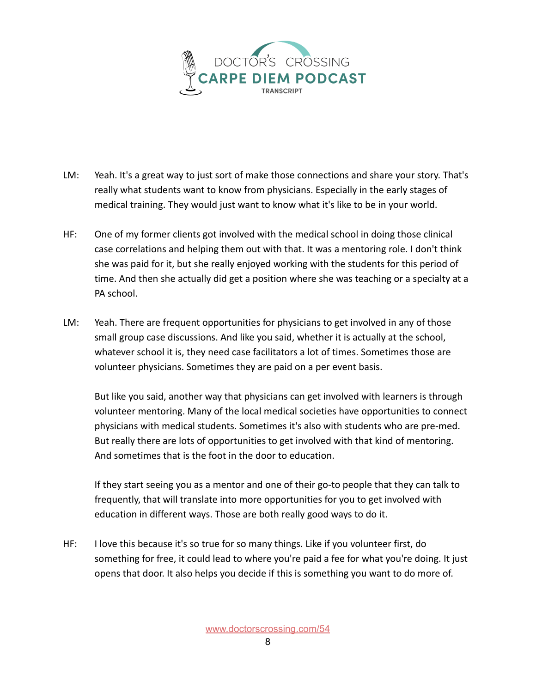

- LM: Yeah. It's a great way to just sort of make those connections and share your story. That's really what students want to know from physicians. Especially in the early stages of medical training. They would just want to know what it's like to be in your world.
- HF: One of my former clients got involved with the medical school in doing those clinical case correlations and helping them out with that. It was a mentoring role. I don't think she was paid for it, but she really enjoyed working with the students for this period of time. And then she actually did get a position where she was teaching or a specialty at a PA school.
- LM: Yeah. There are frequent opportunities for physicians to get involved in any of those small group case discussions. And like you said, whether it is actually at the school, whatever school it is, they need case facilitators a lot of times. Sometimes those are volunteer physicians. Sometimes they are paid on a per event basis.

But like you said, another way that physicians can get involved with learners is through volunteer mentoring. Many of the local medical societies have opportunities to connect physicians with medical students. Sometimes it's also with students who are pre-med. But really there are lots of opportunities to get involved with that kind of mentoring. And sometimes that is the foot in the door to education.

If they start seeing you as a mentor and one of their go-to people that they can talk to frequently, that will translate into more opportunities for you to get involved with education in different ways. Those are both really good ways to do it.

HF: I love this because it's so true for so many things. Like if you volunteer first, do something for free, it could lead to where you're paid a fee for what you're doing. It just opens that door. It also helps you decide if this is something you want to do more of.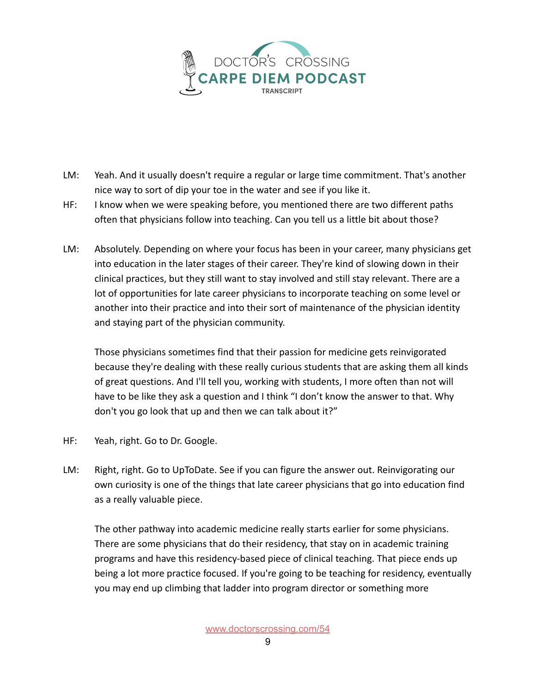

- LM: Yeah. And it usually doesn't require a regular or large time commitment. That's another nice way to sort of dip your toe in the water and see if you like it.
- HF: I know when we were speaking before, you mentioned there are two different paths often that physicians follow into teaching. Can you tell us a little bit about those?
- LM: Absolutely. Depending on where your focus has been in your career, many physicians get into education in the later stages of their career. They're kind of slowing down in their clinical practices, but they still want to stay involved and still stay relevant. There are a lot of opportunities for late career physicians to incorporate teaching on some level or another into their practice and into their sort of maintenance of the physician identity and staying part of the physician community.

Those physicians sometimes find that their passion for medicine gets reinvigorated because they're dealing with these really curious students that are asking them all kinds of great questions. And I'll tell you, working with students, I more often than not will have to be like they ask a question and I think "I don't know the answer to that. Why don't you go look that up and then we can talk about it?"

- HF: Yeah, right. Go to Dr. Google.
- LM: Right, right. Go to UpToDate. See if you can figure the answer out. Reinvigorating our own curiosity is one of the things that late career physicians that go into education find as a really valuable piece.

The other pathway into academic medicine really starts earlier for some physicians. There are some physicians that do their residency, that stay on in academic training programs and have this residency-based piece of clinical teaching. That piece ends up being a lot more practice focused. If you're going to be teaching for residency, eventually you may end up climbing that ladder into program director or something more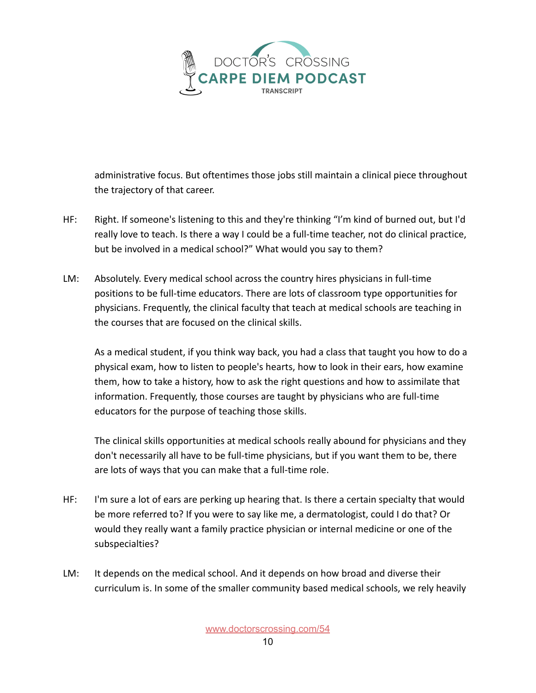

administrative focus. But oftentimes those jobs still maintain a clinical piece throughout the trajectory of that career.

- HF: Right. If someone's listening to this and they're thinking "I'm kind of burned out, but I'd really love to teach. Is there a way I could be a full-time teacher, not do clinical practice, but be involved in a medical school?" What would you say to them?
- LM: Absolutely. Every medical school across the country hires physicians in full-time positions to be full-time educators. There are lots of classroom type opportunities for physicians. Frequently, the clinical faculty that teach at medical schools are teaching in the courses that are focused on the clinical skills.

As a medical student, if you think way back, you had a class that taught you how to do a physical exam, how to listen to people's hearts, how to look in their ears, how examine them, how to take a history, how to ask the right questions and how to assimilate that information. Frequently, those courses are taught by physicians who are full-time educators for the purpose of teaching those skills.

The clinical skills opportunities at medical schools really abound for physicians and they don't necessarily all have to be full-time physicians, but if you want them to be, there are lots of ways that you can make that a full-time role.

- HF: I'm sure a lot of ears are perking up hearing that. Is there a certain specialty that would be more referred to? If you were to say like me, a dermatologist, could I do that? Or would they really want a family practice physician or internal medicine or one of the subspecialties?
- LM: It depends on the medical school. And it depends on how broad and diverse their curriculum is. In some of the smaller community based medical schools, we rely heavily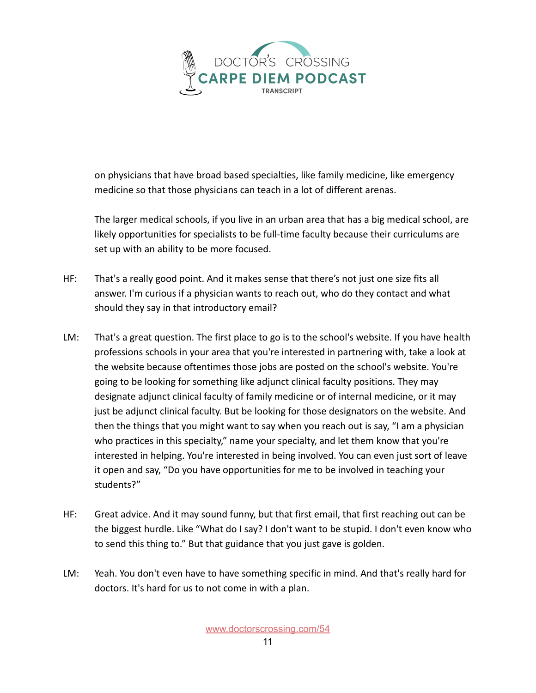

on physicians that have broad based specialties, like family medicine, like emergency medicine so that those physicians can teach in a lot of different arenas.

The larger medical schools, if you live in an urban area that has a big medical school, are likely opportunities for specialists to be full-time faculty because their curriculums are set up with an ability to be more focused.

- HF: That's a really good point. And it makes sense that there's not just one size fits all answer. I'm curious if a physician wants to reach out, who do they contact and what should they say in that introductory email?
- LM: That's a great question. The first place to go is to the school's website. If you have health professions schools in your area that you're interested in partnering with, take a look at the website because oftentimes those jobs are posted on the school's website. You're going to be looking for something like adjunct clinical faculty positions. They may designate adjunct clinical faculty of family medicine or of internal medicine, or it may just be adjunct clinical faculty. But be looking for those designators on the website. And then the things that you might want to say when you reach out is say, "I am a physician who practices in this specialty," name your specialty, and let them know that you're interested in helping. You're interested in being involved. You can even just sort of leave it open and say, "Do you have opportunities for me to be involved in teaching your students?"
- HF: Great advice. And it may sound funny, but that first email, that first reaching out can be the biggest hurdle. Like "What do I say? I don't want to be stupid. I don't even know who to send this thing to." But that guidance that you just gave is golden.
- LM: Yeah. You don't even have to have something specific in mind. And that's really hard for doctors. It's hard for us to not come in with a plan.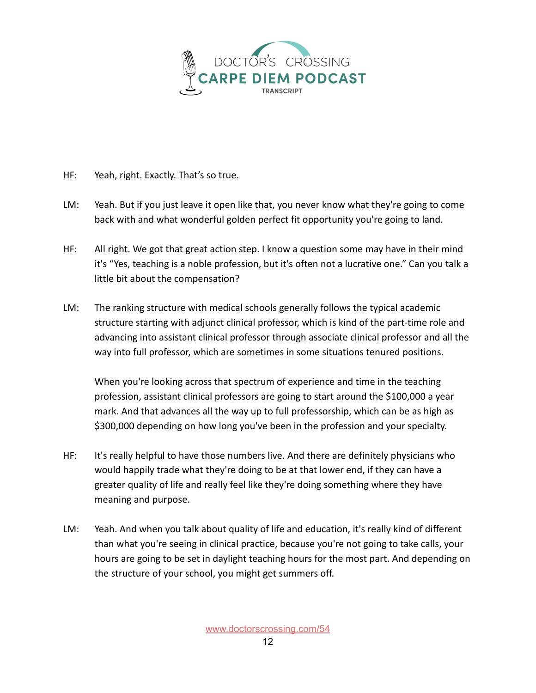

- HF: Yeah, right. Exactly. That's so true.
- LM: Yeah. But if you just leave it open like that, you never know what they're going to come back with and what wonderful golden perfect fit opportunity you're going to land.
- HF: All right. We got that great action step. I know a question some may have in their mind it's "Yes, teaching is a noble profession, but it's often not a lucrative one." Can you talk a little bit about the compensation?
- LM: The ranking structure with medical schools generally follows the typical academic structure starting with adjunct clinical professor, which is kind of the part-time role and advancing into assistant clinical professor through associate clinical professor and all the way into full professor, which are sometimes in some situations tenured positions.

When you're looking across that spectrum of experience and time in the teaching profession, assistant clinical professors are going to start around the \$100,000 a year mark. And that advances all the way up to full professorship, which can be as high as \$300,000 depending on how long you've been in the profession and your specialty.

- HF: It's really helpful to have those numbers live. And there are definitely physicians who would happily trade what they're doing to be at that lower end, if they can have a greater quality of life and really feel like they're doing something where they have meaning and purpose.
- LM: Yeah. And when you talk about quality of life and education, it's really kind of different than what you're seeing in clinical practice, because you're not going to take calls, your hours are going to be set in daylight teaching hours for the most part. And depending on the structure of your school, you might get summers off.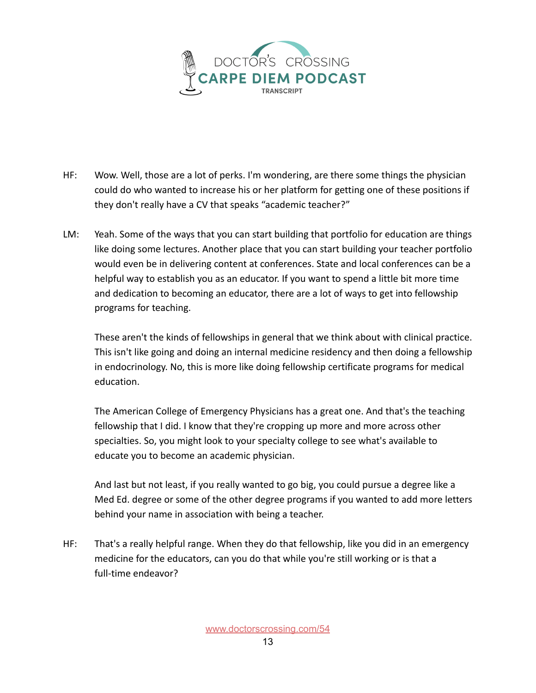

- HF: Wow. Well, those are a lot of perks. I'm wondering, are there some things the physician could do who wanted to increase his or her platform for getting one of these positions if they don't really have a CV that speaks "academic teacher?"
- LM: Yeah. Some of the ways that you can start building that portfolio for education are things like doing some lectures. Another place that you can start building your teacher portfolio would even be in delivering content at conferences. State and local conferences can be a helpful way to establish you as an educator. If you want to spend a little bit more time and dedication to becoming an educator, there are a lot of ways to get into fellowship programs for teaching.

These aren't the kinds of fellowships in general that we think about with clinical practice. This isn't like going and doing an internal medicine residency and then doing a fellowship in endocrinology. No, this is more like doing fellowship certificate programs for medical education.

The American College of Emergency Physicians has a great one. And that's the teaching fellowship that I did. I know that they're cropping up more and more across other specialties. So, you might look to your specialty college to see what's available to educate you to become an academic physician.

And last but not least, if you really wanted to go big, you could pursue a degree like a Med Ed. degree or some of the other degree programs if you wanted to add more letters behind your name in association with being a teacher.

HF: That's a really helpful range. When they do that fellowship, like you did in an emergency medicine for the educators, can you do that while you're still working or is that a full-time endeavor?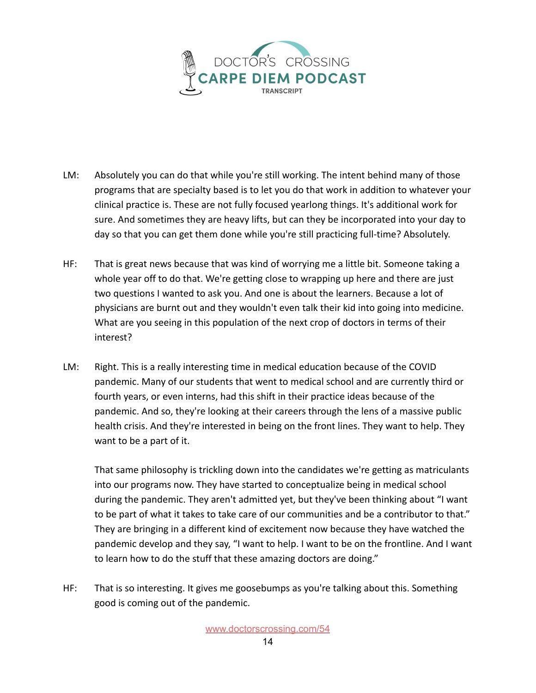

- LM: Absolutely you can do that while you're still working. The intent behind many of those programs that are specialty based is to let you do that work in addition to whatever your clinical practice is. These are not fully focused yearlong things. It's additional work for sure. And sometimes they are heavy lifts, but can they be incorporated into your day to day so that you can get them done while you're still practicing full-time? Absolutely.
- HF: That is great news because that was kind of worrying me a little bit. Someone taking a whole year off to do that. We're getting close to wrapping up here and there are just two questions I wanted to ask you. And one is about the learners. Because a lot of physicians are burnt out and they wouldn't even talk their kid into going into medicine. What are you seeing in this population of the next crop of doctors in terms of their interest?
- LM: Right. This is a really interesting time in medical education because of the COVID pandemic. Many of our students that went to medical school and are currently third or fourth years, or even interns, had this shift in their practice ideas because of the pandemic. And so, they're looking at their careers through the lens of a massive public health crisis. And they're interested in being on the front lines. They want to help. They want to be a part of it.

That same philosophy is trickling down into the candidates we're getting as matriculants into our programs now. They have started to conceptualize being in medical school during the pandemic. They aren't admitted yet, but they've been thinking about "I want to be part of what it takes to take care of our communities and be a contributor to that." They are bringing in a different kind of excitement now because they have watched the pandemic develop and they say, "I want to help. I want to be on the frontline. And I want to learn how to do the stuff that these amazing doctors are doing."

HF: That is so interesting. It gives me goosebumps as you're talking about this. Something good is coming out of the pandemic.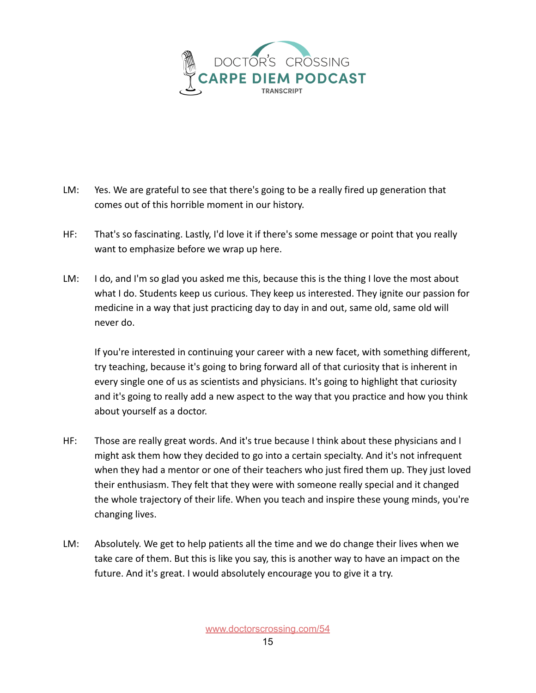

- LM: Yes. We are grateful to see that there's going to be a really fired up generation that comes out of this horrible moment in our history.
- HF: That's so fascinating. Lastly, I'd love it if there's some message or point that you really want to emphasize before we wrap up here.
- LM: I do, and I'm so glad you asked me this, because this is the thing I love the most about what I do. Students keep us curious. They keep us interested. They ignite our passion for medicine in a way that just practicing day to day in and out, same old, same old will never do.

If you're interested in continuing your career with a new facet, with something different, try teaching, because it's going to bring forward all of that curiosity that is inherent in every single one of us as scientists and physicians. It's going to highlight that curiosity and it's going to really add a new aspect to the way that you practice and how you think about yourself as a doctor.

- HF: Those are really great words. And it's true because I think about these physicians and I might ask them how they decided to go into a certain specialty. And it's not infrequent when they had a mentor or one of their teachers who just fired them up. They just loved their enthusiasm. They felt that they were with someone really special and it changed the whole trajectory of their life. When you teach and inspire these young minds, you're changing lives.
- LM: Absolutely. We get to help patients all the time and we do change their lives when we take care of them. But this is like you say, this is another way to have an impact on the future. And it's great. I would absolutely encourage you to give it a try.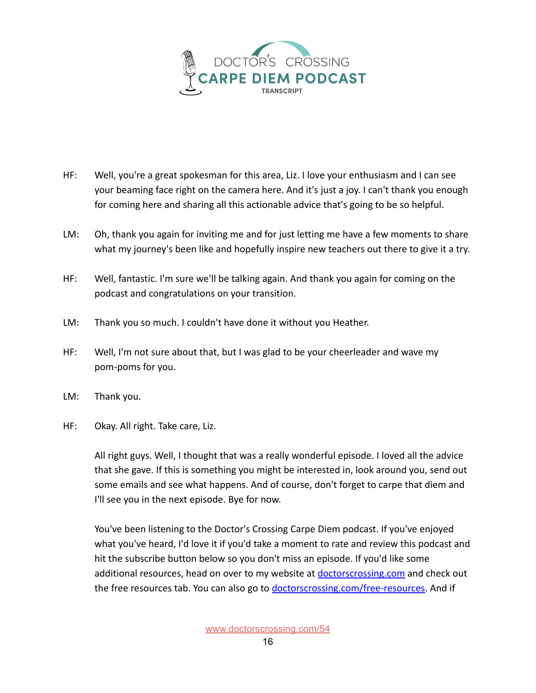

- HF: Well, you're a great spokesman for this area, Liz. I love your enthusiasm and I can see your beaming face right on the camera here. And it's just a joy. I can't thank you enough for coming here and sharing all this actionable advice that's going to be so helpful.
- LM: Oh, thank you again for inviting me and for just letting me have a few moments to share what my journey's been like and hopefully inspire new teachers out there to give it a try.
- HF: Well, fantastic. I'm sure we'll be talking again. And thank you again for coming on the podcast and congratulations on your transition.
- LM: Thank you so much. I couldn't have done it without you Heather.
- HF: Well, I'm not sure about that, but I was glad to be your cheerleader and wave my pom-poms for you.
- LM: Thank you.
- HF: Okay. All right. Take care, Liz.

All right guys. Well, I thought that was a really wonderful episode. I loved all the advice that she gave. If this is something you might be interested in, look around you, send out some emails and see what happens. And of course, don't forget to carpe that diem and I'll see you in the next episode. Bye for now.

You've been listening to the Doctor's Crossing Carpe Diem podcast. If you've enjoyed what you've heard, I'd love it if you'd take a moment to rate and review this podcast and hit the subscribe button below so you don't miss an episode. If you'd like some additional resources, head on over to my website at doctorscrossing.com and check out the free resources tab. You can also go to [doctorscrossing.com/free-resources.](http://doctorscrossing.com/free-resources) And if